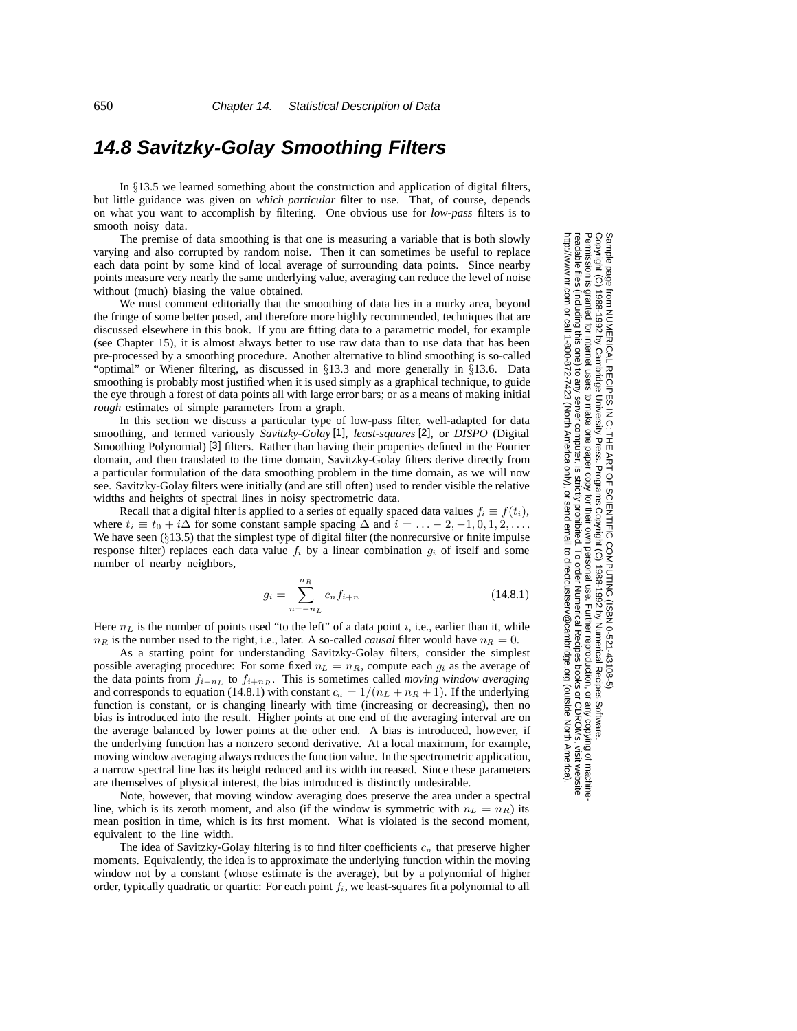## **14.8 Savitzky-Golay Smoothing Filters**

In §13.5 we learned something about the construction and application of digital filters, but little guidance was given on *which particular* filter to use. That, of course, depends on what you want to accomplish by filtering. One obvious use for *low-pass* filters is to smooth noisy data.

The premise of data smoothing is that one is measuring a variable that is both slowly varying and also corrupted by random noise. Then it can sometimes be useful to replace each data point by some kind of local average of surrounding data points. Since nearby points measure very nearly the same underlying value, averaging can reduce the level of noise without (much) biasing the value obtained.

We must comment editorially that the smoothing of data lies in a murky area, beyond the fringe of some better posed, and therefore more highly recommended, techniques that are discussed elsewhere in this book. If you are fitting data to a parametric model, for example (see Chapter 15), it is almost always better to use raw data than to use data that has been pre-processed by a smoothing procedure. Another alternative to blind smoothing is so-called "optimal" or Wiener filtering, as discussed in  $\S$ 13.3 and more generally in  $\S$ 13.6. Data smoothing is probably most justified when it is used simply as a graphical technique, to guide the eye through a forest of data points all with large error bars; or as a means of making initial *rough* estimates of simple parameters from a graph.

In this section we discuss a particular type of low-pass filter, well-adapted for data smoothing, and termed variously *Savitzky-Golay* [1], *least-squares* [2], or *DISPO* (Digital Smoothing Polynomial) [3] filters. Rather than having their properties defined in the Fourier domain, and then translated to the time domain, Savitzky-Golay filters derive directly from a particular formulation of the data smoothing problem in the time domain, as we will now see. Savitzky-Golay filters were initially (and are still often) used to render visible the relative widths and heights of spectral lines in noisy spectrometric data.

Recall that a digital filter is applied to a series of equally spaced data values  $f_i \equiv f(t_i)$ , where  $t_i \equiv t_0 + i\Delta$  for some constant sample spacing  $\Delta$  and  $i = \ldots - 2, -1, 0, 1, 2, \ldots$ . We have seen (§13.5) that the simplest type of digital filter (the nonrecursive or finite impulse response filter) replaces each data value  $f_i$  by a linear combination  $g_i$  of itself and some number of nearby neighbors,

$$
g_i = \sum_{n=-n_L}^{n_R} c_n f_{i+n}
$$
 (14.8.1)

Here  $n<sub>L</sub>$  is the number of points used "to the left" of a data point *i*, i.e., earlier than it, while  $n_R$  is the number used to the right, i.e., later. A so-called *causal* filter would have  $n_R = 0$ .

As a starting point for understanding Savitzky-Golay filters, consider the simplest possible averaging procedure: For some fixed  $n_L = n_R$ , compute each  $g_i$  as the average of the data points from *<sup>f</sup><sup>i</sup>−n<sup>L</sup>* to *<sup>f</sup><sup>i</sup>*+*n<sup>R</sup>* . This is sometimes called *moving window averaging* and corresponds to equation (14.8.1) with constant  $c_n = 1/(n_L + n_R + 1)$ . If the underlying function is constant, or is changing linearly with time (increasing or decreasing), then no bias is introduced into the result. Higher points at one end of the averaging interval are on the average balanced by lower points at the other end. A bias is introduced, however, if the underlying function has a nonzero second derivative. At a local maximum, for example, moving window averaging always reduces the function value. In the spectrometric application, a narrow spectral line has its height reduced and its width increased. Since these parameters are themselves of physical interest, the bias introduced is distinctly undesirable.

Note, however, that moving window averaging does preserve the area under a spectral line, which is its zeroth moment, and also (if the window is symmetric with  $n_L = n_R$ ) its mean position in time, which is its first moment. What is violated is the second moment, equivalent to the line width.

The idea of Savitzky-Golay filtering is to find filter coefficients *<sup>c</sup><sup>n</sup>* that preserve higher moments. Equivalently, the idea is to approximate the underlying function within the moving window not by a constant (whose estimate is the average), but by a polynomial of higher order, typically quadratic or quartic: For each point *f<sup>i</sup>*, we least-squares fit a polynomial to all

Permission is granted for internet users to make one paper copy for their own personal use. Further reproduction, or any copyin Copyright (C) 1988-1992 by Cambridge University Press.Programs Copyright (C) 1988-1992 by Numerical Recipes Software. g of machinereadable files (including this one) to any servercomputer, is strictly prohibited. To order Numerical Recipes booksor CDROMs, visit website http://www.nr.com or call 1-800-872-7423 (North America only),or send email to directcustserv@cambridge.org (outside North America).

Sample page from NUMERICAL RECIPES IN C: THE ART OF SCIENTIFIC COMPUTING (ISBN 0-521-43108-5)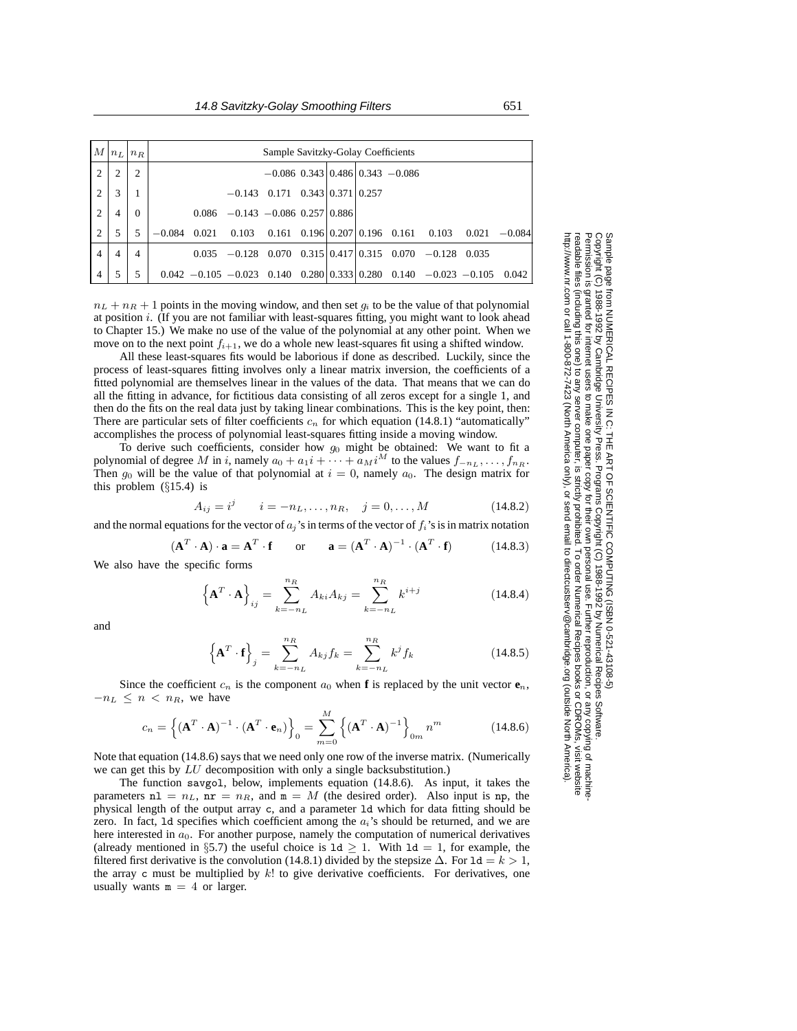|                | $ M n_L $      | $n_R$          | Sample Savitzky-Golay Coefficients |       |                              |                                     |  |                               |                                           |                                     |                 |       |          |
|----------------|----------------|----------------|------------------------------------|-------|------------------------------|-------------------------------------|--|-------------------------------|-------------------------------------------|-------------------------------------|-----------------|-------|----------|
| 2              | 2              | $\overline{2}$ |                                    |       |                              | $-0.086$ 0.343 0.486 0.343 $-0.086$ |  |                               |                                           |                                     |                 |       |          |
| 2              | 3              |                |                                    |       | $-0.143$                     | 0.171                               |  | $0.343 \mid 0.371 \mid 0.257$ |                                           |                                     |                 |       |          |
| $\overline{2}$ | $\overline{4}$ | $\Omega$       |                                    | 0.086 | $-0.143 - 0.086 0.25710.886$ |                                     |  |                               |                                           |                                     |                 |       |          |
| 2              | 5              | 5              | $-0.084$                           | 0.021 | 0.103                        | 0.161                               |  |                               | $0.196 \mid 0.207 \mid 0.196 \quad 0.161$ |                                     | 0.103           | 0.021 | $-0.084$ |
| $\overline{4}$ | $\overline{4}$ | $\overline{4}$ |                                    | 0.035 | $-0.128$                     | 0.070                               |  |                               |                                           | $0.315 \mid 0.417 \mid 0.315$ 0.070 | $-0.128$        | 0.035 |          |
| $\overline{4}$ |                | 5              |                                    |       | $0.042 - 0.105 - 0.023$      | 0.140                               |  |                               |                                           | $0.280 \mid 0.333 \mid 0.280$ 0.140 | $-0.023 -0.105$ |       | 0.042    |

 $n_L + n_R + 1$  points in the moving window, and then set  $g_i$  to be the value of that polynomial at position *i*. (If you are not familiar with least-squares fitting, you might want to look ahead to Chapter 15.) We make no use of the value of the polynomial at any other point. When we move on to the next point  $f_{i+1}$ , we do a whole new least-squares fit using a shifted window.

All these least-squares fits would be laborious if done as described. Luckily, since the process of least-squares fitting involves only a linear matrix inversion, the coefficients of a fitted polynomial are themselves linear in the values of the data. That means that we can do all the fitting in advance, for fictitious data consisting of all zeros except for a single 1, and then do the fits on the real data just by taking linear combinations. This is the key point, then: There are particular sets of filter coefficients  $c_n$  for which equation (14.8.1) "automatically" accomplishes the process of polynomial least-squares fitting inside a moving window.

To derive such coefficients, consider how  $g_0$  might be obtained: We want to fit a<br>omial of degree M in i namely  $g_0 + g_1 i + \cdots + g_M i^M$  to the values f polynomial of degree *M* in *i*, namely  $a_0 + a_1i + \cdots + a_Mi^M$  to the values  $f_{-n_L}, \ldots, f_{n_R}$ .<br>Then  $a_0$  will be the value of that polynomial at  $i = 0$  namely  $a_0$ . The design matrix for Then  $g_0$  will be the value of that polynomial at  $i = 0$ , namely  $a_0$ . The design matrix for this problem  $(\S15.4)$  is

$$
A_{ij} = i^j \qquad i = -n_L, \dots, n_R, \quad j = 0, \dots, M
$$
 (14.8.2)

and the normal equations for the vector of  $a_j$ 's in terms of the vector of  $f_i$ 's is in matrix notation

$$
(\mathbf{A}^T \cdot \mathbf{A}) \cdot \mathbf{a} = \mathbf{A}^T \cdot \mathbf{f} \qquad \text{or} \qquad \mathbf{a} = (\mathbf{A}^T \cdot \mathbf{A})^{-1} \cdot (\mathbf{A}^T \cdot \mathbf{f}) \tag{14.8.3}
$$

We also have the specific forms

$$
\left\{ \mathbf{A}^{T} \cdot \mathbf{A} \right\}_{ij} = \sum_{k=-n_{L}}^{n_{R}} A_{ki} A_{kj} = \sum_{k=-n_{L}}^{n_{R}} k^{i+j}
$$
(14.8.4)

and

$$
\left\{ \mathbf{A}^T \cdot \mathbf{f} \right\}_j = \sum_{k=-n_L}^{n_R} A_{kj} f_k = \sum_{k=-n_L}^{n_R} k^j f_k \tag{14.8.5}
$$

Since the coefficient  $c_n$  is the component  $a_0$  when **f** is replaced by the unit vector  $e_n$ ,  $-n<sub>L</sub> \leq n < n<sub>R</sub>$ , we have

$$
c_n = \left\{ (\mathbf{A}^T \cdot \mathbf{A})^{-1} \cdot (\mathbf{A}^T \cdot \mathbf{e}_n) \right\}_0 = \sum_{m=0}^M \left\{ (\mathbf{A}^T \cdot \mathbf{A})^{-1} \right\}_{0m} n^m
$$
 (14.8.6)

Note that equation (14.8.6) says that we need only one row of the inverse matrix. (Numerically we can get this by *LU* decomposition with only a single backsubstitution.)

The function savgol, below, implements equation (14.8.6). As input, it takes the parameters  $n\mathbf{l} = n_L$ ,  $n\mathbf{r} = n_R$ , and  $m = M$  (the desired order). Also input is np, the physical length of the output array c, and a parameter ld which for data fitting should be zero. In fact, ld specifies which coefficient among the *<sup>a</sup><sup>i</sup>*'s should be returned, and we are here interested in  $a_0$ . For another purpose, namely the computation of numerical derivatives (already mentioned in §5.7) the useful choice is  $1d \ge 1$ . With  $1d = 1$ , for example, the filtered first derivative is the convolution (14.8.1) divided by the stepsize  $\Delta$ . For  $\text{Id} = k > 1$ , the array <sup>c</sup> must be multiplied by *k*! to give derivative coefficients. For derivatives, one usually wants  $m = 4$  or larger.

Permission is granted for internet users to make one paper copy for their own personal use. Further reproduction, or any copyin Copyright (C) 1988-1992 by Cambridge University Press.Programs Copyright (C) 1988-1992 by Numerical Recipes Software. Sample page from NUMERICAL RECIPES IN C: THE ART OF SCIENTIFIC COMPUTING (ISBN 0-521-43108-5) readable files (including this one) to any servercomputer, is strictly prohibited. To order Numerical Recipes booksor CDROMs, visit website http://www.nr.com or call 1-800-872-7423 (North America only),or send email to directcustserv@cambridge.org (outside North America).

g of machine-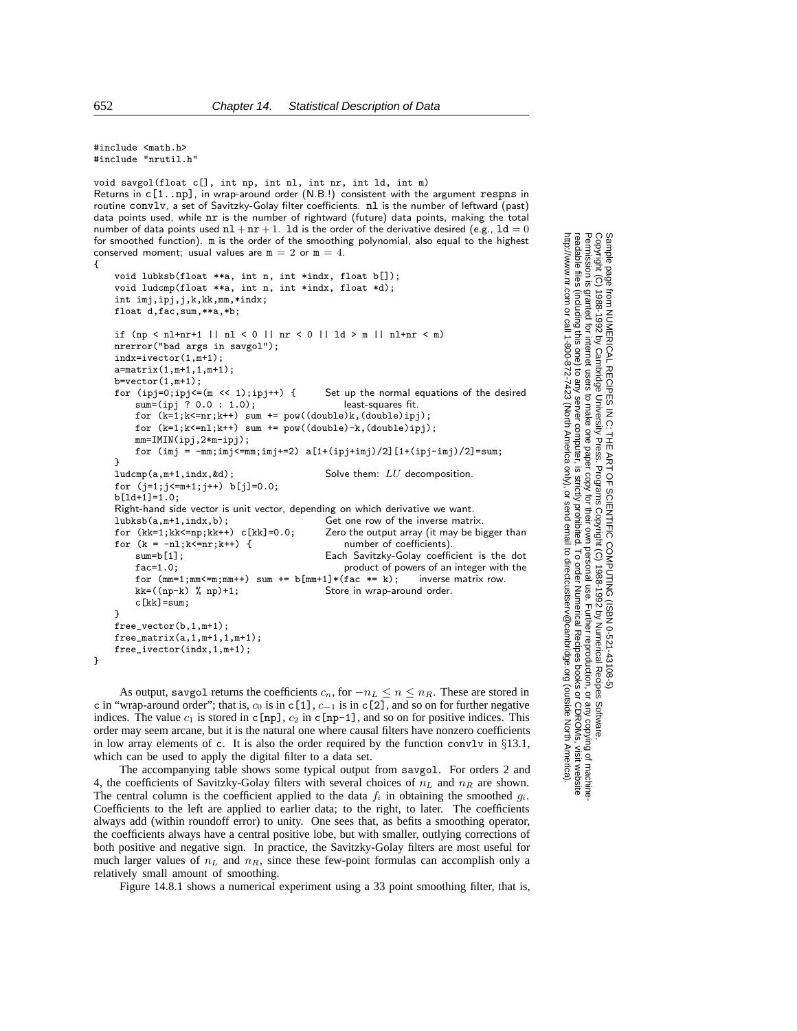#include <math.h> #include "nrutil.h"

```
void savgol(float c[], int np, int nl, int nr, int ld, int m)
Returns in c[1..np], in wrap-around order (N.B.!) consistent with the argument respns in
routine convlv, a set of Savitzky-Golay filter coefficients. nl is the number of leftward (past)
data points used, while nr is the number of rightward (future) data points, making the total
number of data points used n = n + 1. 1d is the order of the derivative desired (e.g., 1d = 0for smoothed function). m is the order of the smoothing polynomial, also equal to the highest
conserved moment; usual values are m = 2 or m = 4.
{
    void lubksb(float **a, int n, int *indx, float b[]);
    void ludcmp(float **a, int n, int *indx, float *d);
    int imj,ipj,j,k,kk,mm,*indx;
    float d,fac,sum,**a,*b;
    if (np < nl+nr+1 || nl < 0 || nr < 0 || ld > m || nl+nr < m)
    nrerror("bad args in savgol");
    intx=ivector(1,m+1);a=matrix(1,m+1,1,m+1);
    b=vector(1,m+1);
    for (ipj=0;ipj<=(m << 1);ipj++) { Set up the normal equations of the desired
        sum=(ipj ? 0.0 : 1.0); least-squares fit.
        for (k=1; k<=nr; k++) sum += pow((double)k, (double)ipj);for (k=1; k<=n1; k++) sum += pow((double)-k,(double)ipj);
        mm=IMIN(ipj,2*m-ipj);
        for (\text{im } j = -\text{mm}; \text{im } j \leq \text{mm}; \text{im } j \neq 2) a[1+(ipj+imj)/2][1+(ipj-imj)/2]=sum;
    }<br>ludcmp(a,m+1,indx, &d);
                                                Solve them: LU decomposition.
    for (j=1; j<=m+1; j++) b[j]=0.0;
    b[ld+1]=1.0;
    Right-hand side vector is unit vector, depending on which derivative we want.
    lubksb(a,m+1,indx,b);<br>for (kk=1;kk<=np;kk++) c[kk]=0.0; Zero the output array (it may be big
                                                Zero the output array (it may be bigger than<br>number of coefficients).
    for (k = -n1; k \leq nr; k++) {<br>sum=b[1];
                                                Each Savitzky-Golay coefficient is the dot
                                                    product of powers of an integer with the
                                                                  inverse matrix row.
        fac=1.0;
        for (mm=1;mm<=m;mm++) sum += b[mm+1] * (fac *= k);kk=((np-k) % np)+1; Store in wrap-around order.
        c[kk]=sum;
    }
    free_vector(b,1,m+1);
    free_matrix(a,1,m+1,1,m+1);
    free_ivector(indx,1,m+1);
}
```
As output, savgol returns the coefficients  $c_n$ , for  $-n_L \leq n \leq n_R$ . These are stored in <sup>c</sup> in "wrap-around order"; that is, *<sup>c</sup>*<sup>0</sup> is in c[1], *<sup>c</sup><sup>−</sup>*<sup>1</sup> is in c[2], and so on for further negative indices. The value  $c_1$  is stored in c[np],  $c_2$  in c[np-1], and so on for positive indices. This order may seem arcane, but it is the natural one where causal filters have nonzero coefficients in low array elements of c. It is also the order required by the function conv1v in  $\S 13.1$ , which can be used to apply the digital filter to a data set.

The accompanying table shows some typical output from savgol. For orders 2 and 4, the coefficients of Savitzky-Golay filters with several choices of  $n<sub>L</sub>$  and  $n<sub>R</sub>$  are shown. The central column is the coefficient applied to the data  $f_i$  in obtaining the smoothed  $g_i$ . Coefficients to the left are applied to earlier data; to the right, to later. The coefficients always add (within roundoff error) to unity. One sees that, as befits a smoothing operator, the coefficients always have a central positive lobe, but with smaller, outlying corrections of both positive and negative sign. In practice, the Savitzky-Golay filters are most useful for much larger values of  $n<sub>L</sub>$  and  $n<sub>R</sub>$ , since these few-point formulas can accomplish only a relatively small amount of smoothing.

Figure 14.8.1 shows a numerical experiment using a 33 point smoothing filter, that is,

Sample page<br>Copyright (C)<br>Permission is Copyright (C) 1988-1992 by Cambridge University Press.Sample page from NUMERICAL RECIPES IN C: THE ART OF SCIENTIFIC COMPUTING (ISBN 0-521-43108-5) http://www.nr.com or call 1-800-872-7423 (North America only),readable files (including this one) to any serverPermission is granted for internet users to make one paper copy for their own personal use. Further reproduction, or any copyin from NUMERICAL RECIPES<br>1988-1992 by Cambridge Uni computer, is strictly prohibited. To order Numerical Recipes booksPrograms Copyright (C) 1988-1992 by Numerical Recipes Software. SCIENTIFIC COMPUTING or send email to directcustserv@cambridge.org (outside North America). email to directcustserv@cambridge.org (outside North America). COMPUTING (ISBN 0-521-43108-5)<br>tt (C) 1988-1992 by Numerical Recipes Software.<br>personal use. Further reproduction, or any copying of machine-<br>I. To order Numerical Recipes books or CDROMs, visit website<br>I. To order Numeric or CDROMs, visit website g of machine-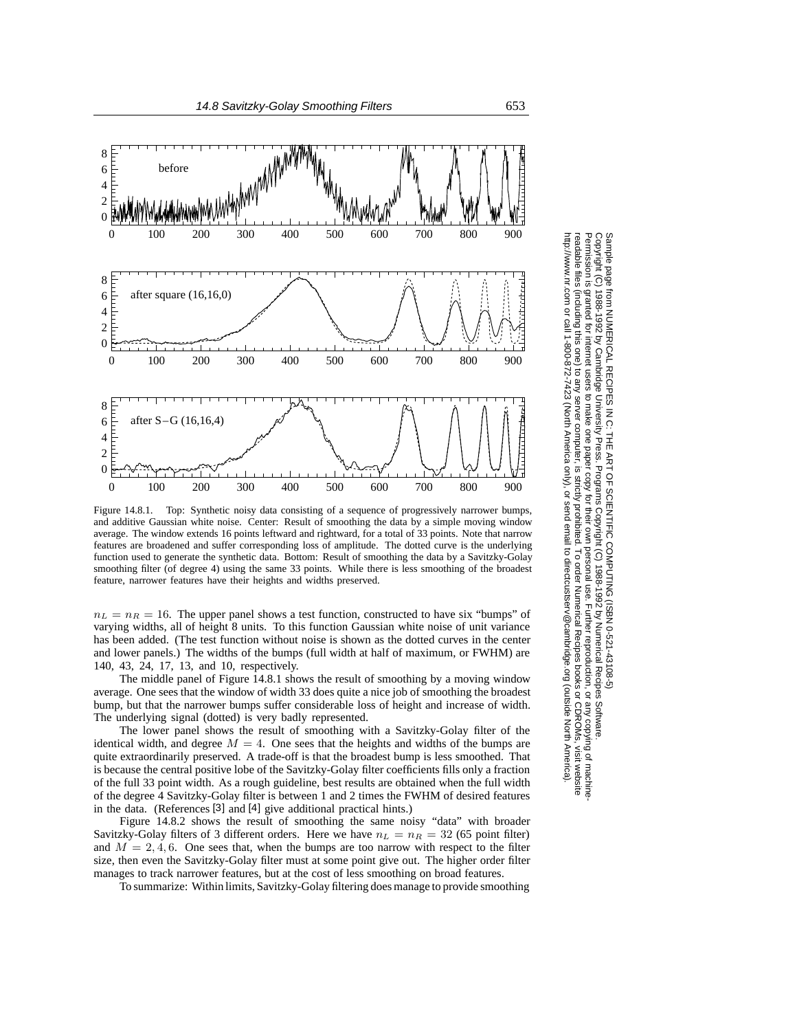

Figure 14.8.1. Top: Synthetic noisy data consisting of a sequence of progressively narrower bumps, and additive Gaussian white noise. Center: Result of smoothing the data by a simple moving window average. The window extends 16 points leftward and rightward, for a total of 33 points. Note that narrow features are broadened and suffer corresponding loss of amplitude. The dotted curve is the underlying function used to generate the synthetic data. Bottom: Result of smoothing the data by a Savitzky-Golay smoothing filter (of degree 4) using the same 33 points. While there is less smoothing of the broadest feature, narrower features have their heights and widths preserved.

 $n_L = n_R = 16$ . The upper panel shows a test function, constructed to have six "bumps" of varying widths, all of height 8 units. To this function Gaussian white noise of unit variance has been added. (The test function without noise is shown as the dotted curves in the center and lower panels.) The widths of the bumps (full width at half of maximum, or FWHM) are 140, 43, 24, 17, 13, and 10, respectively.

The middle panel of Figure 14.8.1 shows the result of smoothing by a moving window average. One sees that the window of width 33 does quite a nice job of smoothing the broadest bump, but that the narrower bumps suffer considerable loss of height and increase of width. The underlying signal (dotted) is very badly represented.

The lower panel shows the result of smoothing with a Savitzky-Golay filter of the identical width, and degree  $M = 4$ . One sees that the heights and widths of the bumps are quite extraordinarily preserved. A trade-off is that the broadest bump is less smoothed. That is because the central positive lobe of the Savitzky-Golay filter coefficients fills only a fraction of the full 33 point width. As a rough guideline, best results are obtained when the full width of the degree 4 Savitzky-Golay filter is between 1 and 2 times the FWHM of desired features in the data. (References [3] and [4] give additional practical hints.)

Figure 14.8.2 shows the result of smoothing the same noisy "data" with broader Savitzky-Golay filters of 3 different orders. Here we have  $n_L = n_R = 32$  (65 point filter) and  $M = 2, 4, 6$ . One sees that, when the bumps are too narrow with respect to the filter size, then even the Savitzky-Golay filter must at some point give out. The higher order filter manages to track narrower features, but at the cost of less smoothing on broad features.

To summarize: Within limits, Savitzky-Golay filtering does manage to provide smoothing

Permission is granted for internet users to make one paper copy for their own personal use. Further reproduction, or any copyin Copyright (C) 1988-1992 by Cambridge University Press.Programs Copyright (C) 1988-1992 by Numerical Recipes Software. Sample page from NUMERICAL RECIPES IN C: THE ART OF SCIENTIFIC COMPUTING (ISBN 0-521-43108-5) g of machinereadable files (including this one) to any servercomputer, is strictly prohibited. To order Numerical Recipes booksor CDROMs, visit website http://www.nr.com or call 1-800-872-7423 (North America only),ntp://www.nr.com or call 1-800-872-7423 (North America only), or send email to directcustserv@cambridge.org (outside North America) or send email to directcustserv@cambridge.org (outside North America).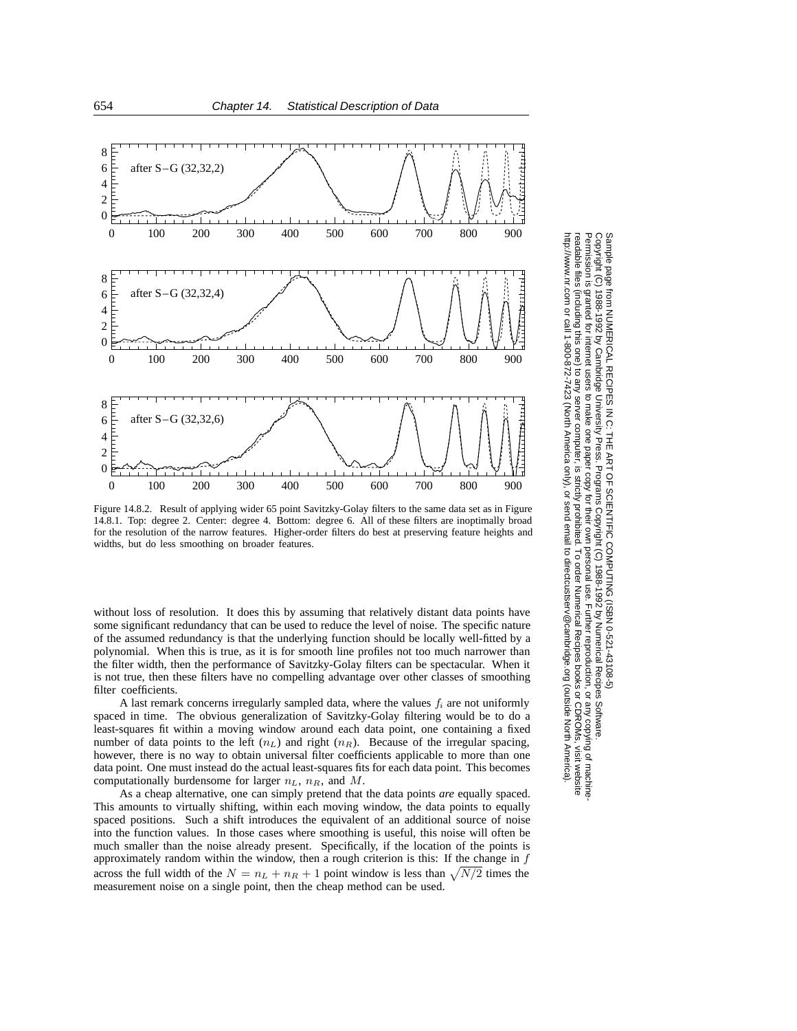

Figure 14.8.2. Result of applying wider 65 point Savitzky-Golay filters to the same data set as in Figure 14.8.1. Top: degree 2. Center: degree 4. Bottom: degree 6. All of these filters are inoptimally broad for the resolution of the narrow features. Higher-order filters do best at preserving feature heights and widths, but do less smoothing on broader features.

without loss of resolution. It does this by assuming that relatively distant data points have some significant redundancy that can be used to reduce the level of noise. The specific nature of the assumed redundancy is that the underlying function should be locally well-fitted by a polynomial. When this is true, as it is for smooth line profiles not too much narrower than the filter width, then the performance of Savitzky-Golay filters can be spectacular. When it is not true, then these filters have no compelling advantage over other classes of smoothing filter coefficients.

A last remark concerns irregularly sampled data, where the values *<sup>f</sup><sup>i</sup>* are not uniformly spaced in time. The obvious generalization of Savitzky-Golay filtering would be to do a least-squares fit within a moving window around each data point, one containing a fixed number of data points to the left  $(n_L)$  and right  $(n_R)$ . Because of the irregular spacing, however, there is no way to obtain universal filter coefficients applicable to more than one data point. One must instead do the actual least-squares fits for each data point. This becomes computationally burdensome for larger *<sup>n</sup><sup>L</sup>*, *n<sup>R</sup>*, and *M*.

As a cheap alternative, one can simply pretend that the data points *are* equally spaced. This amounts to virtually shifting, within each moving window, the data points to equally spaced positions. Such a shift introduces the equivalent of an additional source of noise into the function values. In those cases where smoothing is useful, this noise will often be much smaller than the noise already present. Specifically, if the location of the points is approximately random within the window, then a rough criterion is this: If the change in *f* across the full width of the  $N = n_L + n_R + 1$  point window is less than  $\sqrt{N/2}$  times the measurement noise on a single point, then the cheap method can be used.

Permission is granted for internet users to make one paper copy for their own personal use. Further reproduction, or any copyin Copyright (C) 1988-1992 by Cambridge University Press.Programs Copyright (C) 1988-1992 by Numerical Recipes Software. Sample page from NUMERICAL RECIPES IN C: THE ART OF SCIENTIFIC COMPUTING (ISBN 0-521-43108-5) g of machinereadable files (including this one) to any servercomputer, is strictly prohibited. To order Numerical Recipes booksor CDROMs, visit website http://www.nr.com or call 1-800-872-7423 (North America only),ntp://www.nr.com or call 1-800-872-7423 (North America only), or send email to directcustserv@cambridge.org (outside North America) or send email to directcustserv@cambridge.org (outside North America).